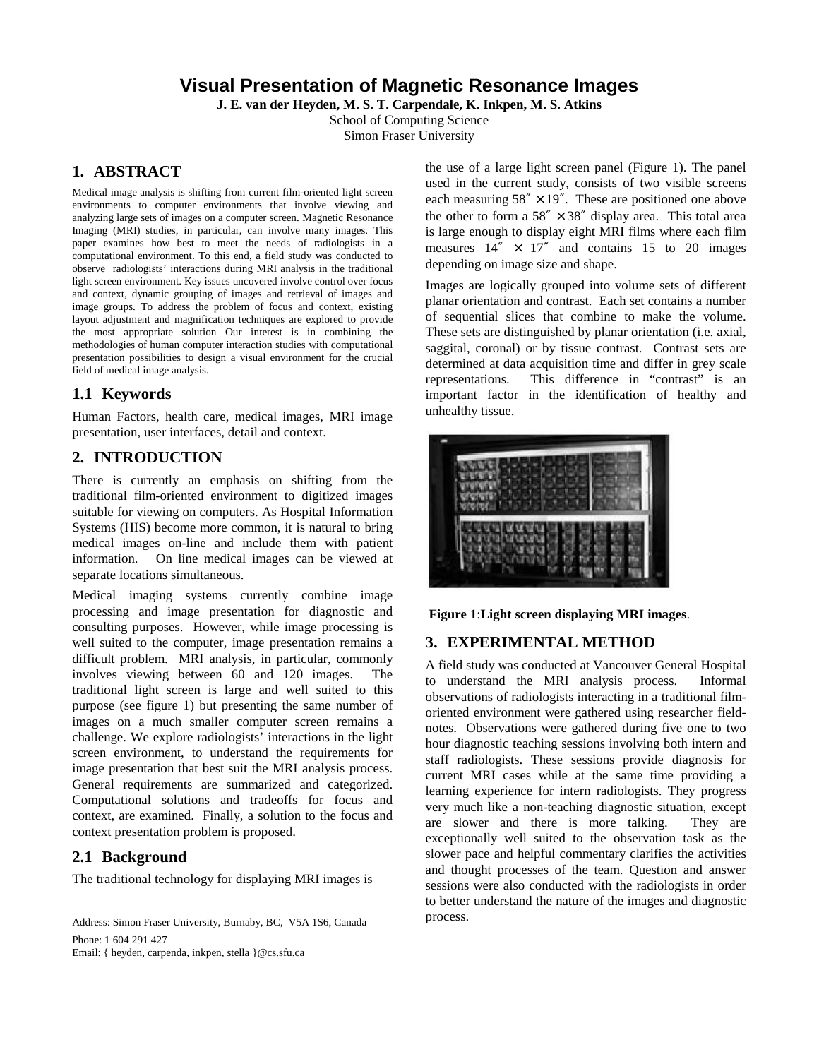# **Visual Presentation of Magnetic Resonance Images**

**J. E. van der Heyden, M. S. T. Carpendale, K. Inkpen, M. S. Atkins** School of Computing Science

Simon Fraser University

## **1. ABSTRACT**

Medical image analysis is shifting from current film-oriented light screen environments to computer environments that involve viewing and analyzing large sets of images on a computer screen. Magnetic Resonance Imaging (MRI) studies, in particular, can involve many images. This paper examines how best to meet the needs of radiologists in a computational environment. To this end, a field study was conducted to observe radiologists' interactions during MRI analysis in the traditional light screen environment. Key issues uncovered involve control over focus and context, dynamic grouping of images and retrieval of images and image groups. To address the problem of focus and context, existing layout adjustment and magnification techniques are explored to provide the most appropriate solution Our interest is in combining the methodologies of human computer interaction studies with computational presentation possibilities to design a visual environment for the crucial field of medical image analysis.

### **1.1 Keywords**

Human Factors, health care, medical images, MRI image presentation, user interfaces, detail and context.

#### **2. INTRODUCTION**

There is currently an emphasis on shifting from the traditional film-oriented environment to digitized images suitable for viewing on computers. As Hospital Information Systems (HIS) become more common, it is natural to bring medical images on-line and include them with patient information. On line medical images can be viewed at separate locations simultaneous.

Medical imaging systems currently combine image processing and image presentation for diagnostic and consulting purposes. However, while image processing is well suited to the computer, image presentation remains a difficult problem. MRI analysis, in particular, commonly involves viewing between 60 and 120 images. The traditional light screen is large and well suited to this purpose (see figure 1) but presenting the same number of images on a much smaller computer screen remains a challenge. We explore radiologists' interactions in the light screen environment, to understand the requirements for image presentation that best suit the MRI analysis process. General requirements are summarized and categorized. Computational solutions and tradeoffs for focus and context, are examined. Finally, a solution to the focus and context presentation problem is proposed.

## **2.1 Background**

The traditional technology for displaying MRI images is

Address: Simon Fraser University, Burnaby, BC, V5A 1S6, Canada

Phone: 1 604 291 427

Email: { heyden, carpenda, inkpen, stella }@cs.sfu.ca

the use of a large light screen panel (Figure 1). The panel used in the current study, consists of two visible screens each measuring  $58'' \times 19''$ . These are positioned one above the other to form a 58"  $\times$  38" display area. This total area is large enough to display eight MRI films where each film measures  $14'' \times 17''$  and contains 15 to 20 images depending on image size and shape.

Images are logically grouped into volume sets of different planar orientation and contrast. Each set contains a number of sequential slices that combine to make the volume. These sets are distinguished by planar orientation (i.e. axial, saggital, coronal) or by tissue contrast. Contrast sets are determined at data acquisition time and differ in grey scale representations. This difference in "contrast" is an important factor in the identification of healthy and unhealthy tissue.



**Figure 1**:**Light screen displaying MRI images**.

## **3. EXPERIMENTAL METHOD**

A field study was conducted at Vancouver General Hospital to understand the MRI analysis process. Informal observations of radiologists interacting in a traditional filmoriented environment were gathered using researcher fieldnotes. Observations were gathered during five one to two hour diagnostic teaching sessions involving both intern and staff radiologists. These sessions provide diagnosis for current MRI cases while at the same time providing a learning experience for intern radiologists. They progress very much like a non-teaching diagnostic situation, except are slower and there is more talking. They are exceptionally well suited to the observation task as the slower pace and helpful commentary clarifies the activities and thought processes of the team. Question and answer sessions were also conducted with the radiologists in order to better understand the nature of the images and diagnostic process.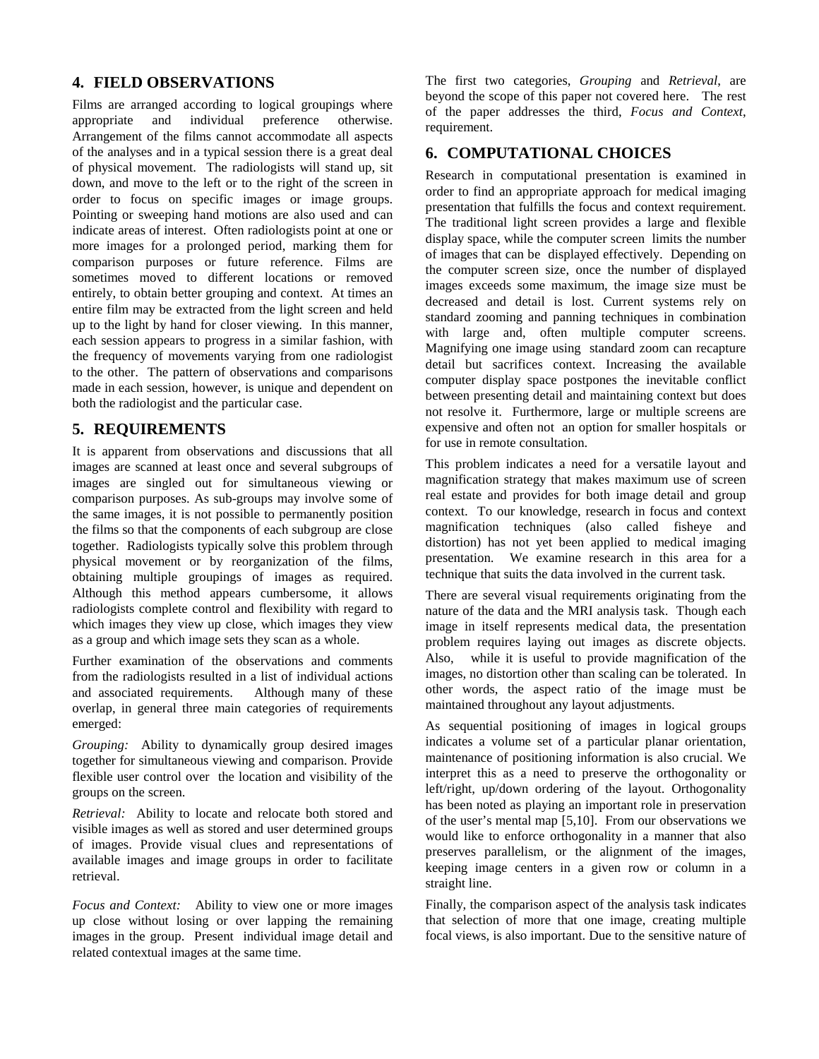### **4. FIELD OBSERVATIONS**

Films are arranged according to logical groupings where appropriate and individual preference otherwise. Arrangement of the films cannot accommodate all aspects of the analyses and in a typical session there is a great deal of physical movement. The radiologists will stand up, sit down, and move to the left or to the right of the screen in order to focus on specific images or image groups. Pointing or sweeping hand motions are also used and can indicate areas of interest. Often radiologists point at one or more images for a prolonged period, marking them for comparison purposes or future reference. Films are sometimes moved to different locations or removed entirely, to obtain better grouping and context. At times an entire film may be extracted from the light screen and held up to the light by hand for closer viewing. In this manner, each session appears to progress in a similar fashion, with the frequency of movements varying from one radiologist to the other. The pattern of observations and comparisons made in each session, however, is unique and dependent on both the radiologist and the particular case.

#### **5. REQUIREMENTS**

It is apparent from observations and discussions that all images are scanned at least once and several subgroups of images are singled out for simultaneous viewing or comparison purposes. As sub-groups may involve some of the same images, it is not possible to permanently position the films so that the components of each subgroup are close together. Radiologists typically solve this problem through physical movement or by reorganization of the films, obtaining multiple groupings of images as required. Although this method appears cumbersome, it allows radiologists complete control and flexibility with regard to which images they view up close, which images they view as a group and which image sets they scan as a whole.

Further examination of the observations and comments from the radiologists resulted in a list of individual actions and associated requirements. Although many of these overlap, in general three main categories of requirements emerged:

*Grouping:* Ability to dynamically group desired images together for simultaneous viewing and comparison. Provide flexible user control over the location and visibility of the groups on the screen.

*Retrieval:* Ability to locate and relocate both stored and visible images as well as stored and user determined groups of images. Provide visual clues and representations of available images and image groups in order to facilitate retrieval.

*Focus and Context:* Ability to view one or more images up close without losing or over lapping the remaining images in the group. Present individual image detail and related contextual images at the same time.

The first two categories, *Grouping* and *Retrieval*, are beyond the scope of this paper not covered here. The rest of the paper addresses the third, *Focus and Context*, requirement.

# **6. COMPUTATIONAL CHOICES**

Research in computational presentation is examined in order to find an appropriate approach for medical imaging presentation that fulfills the focus and context requirement. The traditional light screen provides a large and flexible display space, while the computer screen limits the number of images that can be displayed effectively. Depending on the computer screen size, once the number of displayed images exceeds some maximum, the image size must be decreased and detail is lost. Current systems rely on standard zooming and panning techniques in combination with large and, often multiple computer screens. Magnifying one image using standard zoom can recapture detail but sacrifices context. Increasing the available computer display space postpones the inevitable conflict between presenting detail and maintaining context but does not resolve it. Furthermore, large or multiple screens are expensive and often not an option for smaller hospitals or for use in remote consultation.

This problem indicates a need for a versatile layout and magnification strategy that makes maximum use of screen real estate and provides for both image detail and group context. To our knowledge, research in focus and context magnification techniques (also called fisheye and distortion) has not yet been applied to medical imaging presentation. We examine research in this area for a technique that suits the data involved in the current task.

There are several visual requirements originating from the nature of the data and the MRI analysis task. Though each image in itself represents medical data, the presentation problem requires laying out images as discrete objects. Also, while it is useful to provide magnification of the images, no distortion other than scaling can be tolerated. In other words, the aspect ratio of the image must be maintained throughout any layout adjustments.

As sequential positioning of images in logical groups indicates a volume set of a particular planar orientation, maintenance of positioning information is also crucial. We interpret this as a need to preserve the orthogonality or left/right, up/down ordering of the layout. Orthogonality has been noted as playing an important role in preservation of the user's mental map [5,10]. From our observations we would like to enforce orthogonality in a manner that also preserves parallelism, or the alignment of the images, keeping image centers in a given row or column in a straight line.

Finally, the comparison aspect of the analysis task indicates that selection of more that one image, creating multiple focal views, is also important. Due to the sensitive nature of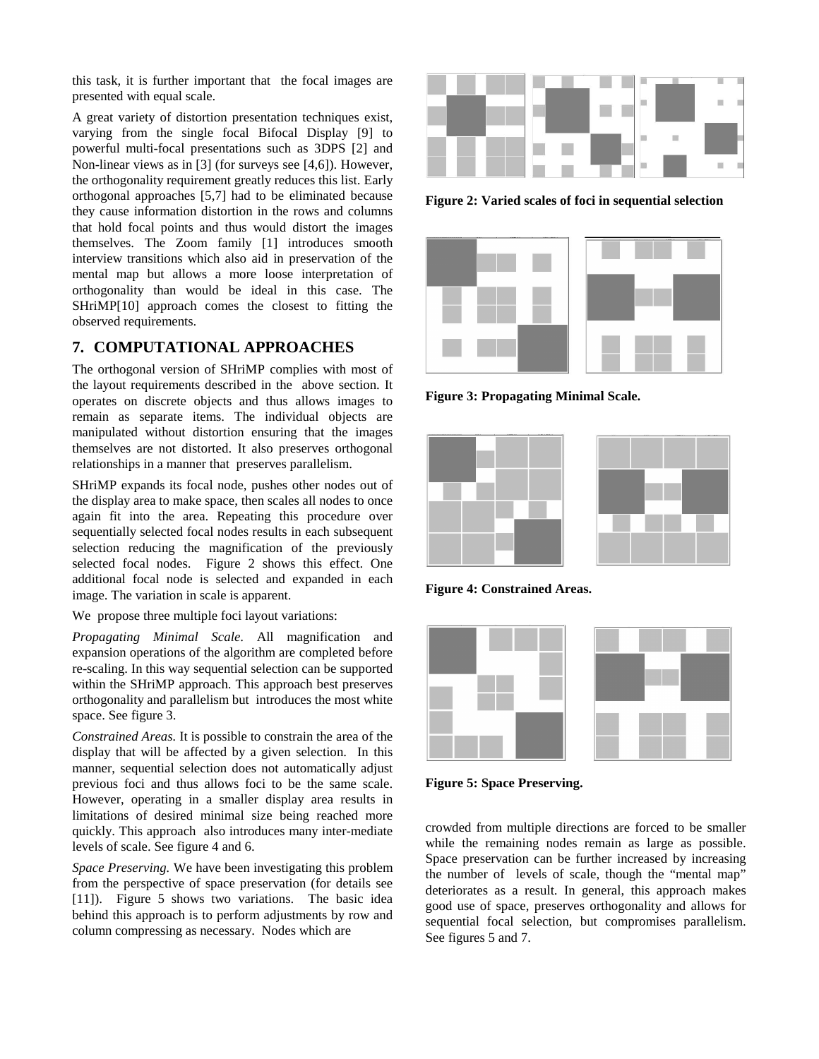this task, it is further important that the focal images are presented with equal scale.

A great variety of distortion presentation techniques exist, varying from the single focal Bifocal Display [9] to powerful multi-focal presentations such as 3DPS [2] and Non-linear views as in [3] (for surveys see [4,6]). However, the orthogonality requirement greatly reduces this list. Early orthogonal approaches [5,7] had to be eliminated because they cause information distortion in the rows and columns that hold focal points and thus would distort the images themselves. The Zoom family [1] introduces smooth interview transitions which also aid in preservation of the mental map but allows a more loose interpretation of orthogonality than would be ideal in this case. The SHriMP[10] approach comes the closest to fitting the observed requirements.

## **7. COMPUTATIONAL APPROACHES**

The orthogonal version of SHriMP complies with most of the layout requirements described in the above section. It operates on discrete objects and thus allows images to remain as separate items. The individual objects are manipulated without distortion ensuring that the images themselves are not distorted. It also preserves orthogonal relationships in a manner that preserves parallelism.

SHriMP expands its focal node, pushes other nodes out of the display area to make space, then scales all nodes to once again fit into the area. Repeating this procedure over sequentially selected focal nodes results in each subsequent selection reducing the magnification of the previously selected focal nodes. Figure 2 shows this effect. One additional focal node is selected and expanded in each image. The variation in scale is apparent.

We propose three multiple foci layout variations:

*Propagating Minimal Scale*. All magnification and expansion operations of the algorithm are completed before re-scaling. In this way sequential selection can be supported within the SHriMP approach. This approach best preserves orthogonality and parallelism but introduces the most white space. See figure 3.

*Constrained Areas.* It is possible to constrain the area of the display that will be affected by a given selection. In this manner, sequential selection does not automatically adjust previous foci and thus allows foci to be the same scale. However, operating in a smaller display area results in limitations of desired minimal size being reached more quickly. This approach also introduces many inter-mediate levels of scale. See figure 4 and 6.

*Space Preserving.* We have been investigating this problem from the perspective of space preservation (for details see [11]). Figure 5 shows two variations. The basic idea behind this approach is to perform adjustments by row and column compressing as necessary. Nodes which are



**Figure 2: Varied scales of foci in sequential selection**



**Figure 3: Propagating Minimal Scale.**





**Figure 4: Constrained Areas.**



**Figure 5: Space Preserving.**

crowded from multiple directions are forced to be smaller while the remaining nodes remain as large as possible. Space preservation can be further increased by increasing the number of levels of scale, though the "mental map" deteriorates as a result. In general, this approach makes good use of space, preserves orthogonality and allows for sequential focal selection, but compromises parallelism. See figures 5 and 7.